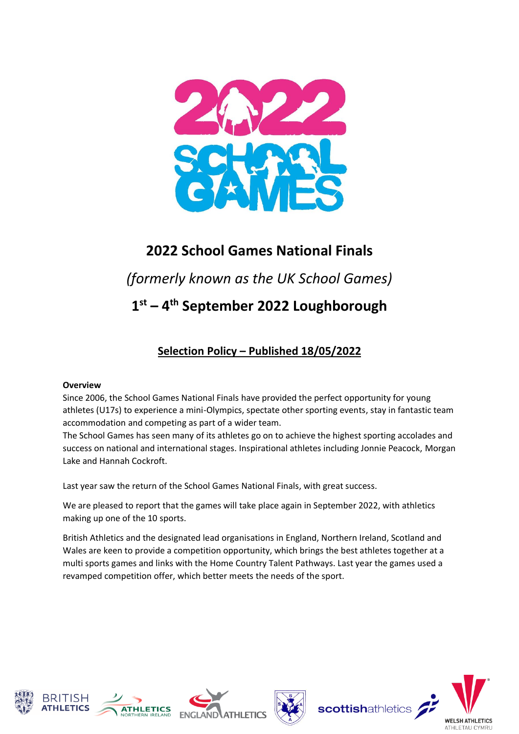

# **2022 School Games National Finals**

*(formerly known as the UK School Games)*

**1 st – 4 th September 2022 Loughborough**

# **Selection Policy – Published 18/05/2022**

#### **Overview**

Since 2006, the School Games National Finals have provided the perfect opportunity for young athletes (U17s) to experience a mini-Olympics, spectate other sporting events, stay in fantastic team accommodation and competing as part of a wider team.

The School Games has seen many of its athletes go on to achieve the highest sporting accolades and success on national and international stages. Inspirational athletes including Jonnie Peacock, Morgan Lake and Hannah Cockroft.

Last year saw the return of the School Games National Finals, with great success.

We are pleased to report that the games will take place again in September 2022, with athletics making up one of the 10 sports.

British Athletics and the designated lead organisations in England, Northern Ireland, Scotland and Wales are keen to provide a competition opportunity, which brings the best athletes together at a multi sports games and links with the Home Country Talent Pathways. Last year the games used a revamped competition offer, which better meets the needs of the sport.











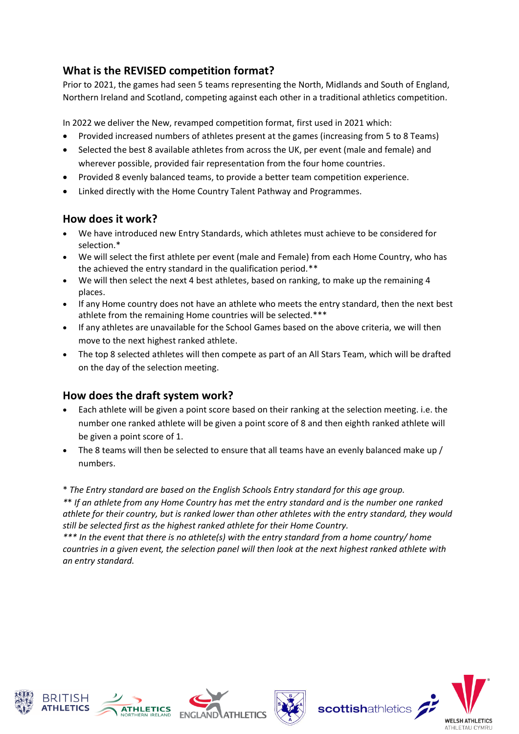## **What is the REVISED competition format?**

Prior to 2021, the games had seen 5 teams representing the North, Midlands and South of England, Northern Ireland and Scotland, competing against each other in a traditional athletics competition.

In 2022 we deliver the New, revamped competition format, first used in 2021 which:

- Provided increased numbers of athletes present at the games (increasing from 5 to 8 Teams)
- Selected the best 8 available athletes from across the UK, per event (male and female) and wherever possible, provided fair representation from the four home countries.
- Provided 8 evenly balanced teams, to provide a better team competition experience.
- Linked directly with the Home Country Talent Pathway and Programmes.

## **How does it work?**

- We have introduced new Entry Standards, which athletes must achieve to be considered for selection.\*
- We will select the first athlete per event (male and Female) from each Home Country, who has the achieved the entry standard in the qualification period.\*\*
- We will then select the next 4 best athletes, based on ranking, to make up the remaining 4 places.
- If any Home country does not have an athlete who meets the entry standard, then the next best athlete from the remaining Home countries will be selected.\*\*\*
- If any athletes are unavailable for the School Games based on the above criteria, we will then move to the next highest ranked athlete.
- The top 8 selected athletes will then compete as part of an All Stars Team, which will be drafted on the day of the selection meeting.

## **How does the draft system work?**

- Each athlete will be given a point score based on their ranking at the selection meeting. i.e. the number one ranked athlete will be given a point score of 8 and then eighth ranked athlete will be given a point score of 1.
- The 8 teams will then be selected to ensure that all teams have an evenly balanced make up / numbers.

\* *The Entry standard are based on the English Schools Entry standard for this age group.*

*\**\* *If an athlete from any Home Country has met the entry standard and is the number one ranked athlete for their country, but is ranked lower than other athletes with the entry standard, they would still be selected first as the highest ranked athlete for their Home Country.*

*\*\*\* In the event that there is no athlete(s) with the entry standard from a home country/ home countries in a given event, the selection panel will then look at the next highest ranked athlete with an entry standard.* 









scottishathletics

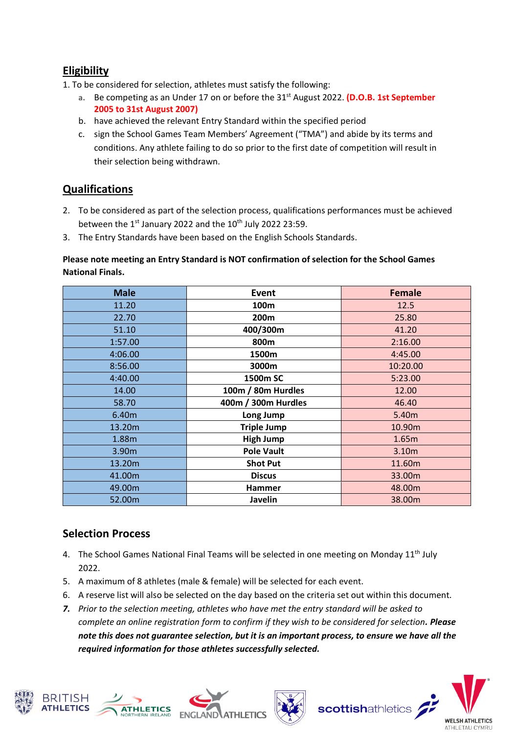## **Eligibility**

- 1. To be considered for selection, athletes must satisfy the following:
	- **a.** Be competing as an Under 17 on or before the 31st August 2022. **(D.O.B. 1st September 2005 to 31st August 2007)**
	- b. have achieved the relevant Entry Standard within the specified period
	- c. sign the School Games Team Members' Agreement ("TMA") and abide by its terms and conditions. Any athlete failing to do so prior to the first date of competition will result in their selection being withdrawn.

## **Qualifications**

- 2. To be considered as part of the selection process, qualifications performances must be achieved between the  $1<sup>st</sup>$  January 2022 and the  $10<sup>th</sup>$  July 2022 23:59.
- 3. The Entry Standards have been based on the English Schools Standards.

#### **Please note meeting an Entry Standard is NOT confirmation of selection for the School Games National Finals.**

| <b>Male</b> | Event               | <b>Female</b> |
|-------------|---------------------|---------------|
| 11.20       | 100m                | 12.5          |
| 22.70       | 200m                | 25.80         |
| 51.10       | 400/300m            | 41.20         |
| 1:57.00     | 800m                | 2:16.00       |
| 4:06.00     | 1500m               | 4:45.00       |
| 8:56.00     | 3000m               | 10:20.00      |
| 4:40.00     | 1500m SC            | 5:23.00       |
| 14.00       | 100m / 80m Hurdles  | 12.00         |
| 58.70       | 400m / 300m Hurdles | 46.40         |
| 6.40m       | Long Jump           | 5.40m         |
| 13.20m      | <b>Triple Jump</b>  | 10.90m        |
| 1.88m       | <b>High Jump</b>    | 1.65m         |
| 3.90m       | <b>Pole Vault</b>   | 3.10m         |
| 13.20m      | <b>Shot Put</b>     | 11.60m        |
| 41.00m      | <b>Discus</b>       | 33.00m        |
| 49.00m      | <b>Hammer</b>       | 48.00m        |
| 52.00m      | Javelin             | 38.00m        |

## **Selection Process**

- 4. The School Games National Final Teams will be selected in one meeting on Monday  $11<sup>th</sup>$  July 2022.
- 5. A maximum of 8 athletes (male & female) will be selected for each event.
- 6. A reserve list will also be selected on the day based on the criteria set out within this document.
- *7. Prior to the selection meeting, athletes who have met the entry standard will be asked to complete an online registration form to confirm if they wish to be considered for selection. Please note this does not guarantee selection, but it is an important process, to ensure we have all the required information for those athletes successfully selected.*









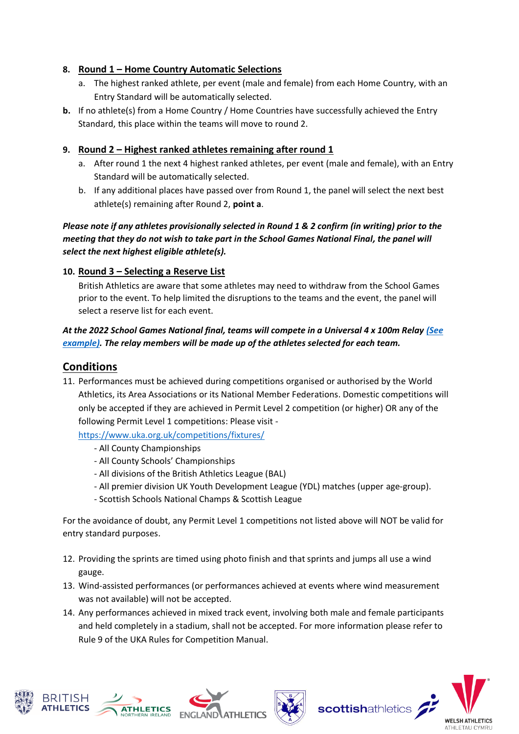#### **8. Round 1 – Home Country Automatic Selections**

- a. The highest ranked athlete, per event (male and female) from each Home Country, with an Entry Standard will be automatically selected.
- **b.** If no athlete(s) from a Home Country / Home Countries have successfully achieved the Entry Standard, this place within the teams will move to round 2.

#### **9. Round 2 – Highest ranked athletes remaining after round 1**

- a. After round 1 the next 4 highest ranked athletes, per event (male and female), with an Entry Standard will be automatically selected.
- b. If any additional places have passed over from Round 1, the panel will select the next best athlete(s) remaining after Round 2, **point a**.

*Please note if any athletes provisionally selected in Round 1 & 2 confirm (in writing) prior to the meeting that they do not wish to take part in the School Games National Final, the panel will select the next highest eligible athlete(s).* 

#### **10. Round 3 – Selecting a Reserve List**

British Athletics are aware that some athletes may need to withdraw from the School Games prior to the event. To help limited the disruptions to the teams and the event, the panel will select a reserve list for each event.

### *At the 2022 School Games National final, teams will compete in a Universal 4 x 100m Relay [\(See](https://www.bing.com/videos/search?q=athletics+universal+relay&&view=detail&mid=7E30763DBC5A34CF92FA7E30763DBC5A34CF92FA&&FORM=VRDGAR&ru=%2Fvideos%2Fsearch%3Fq%3Dathletics%2Buniversal%2Brelay%26FORM%3DHDRSC3)  [example\).](https://www.bing.com/videos/search?q=athletics+universal+relay&&view=detail&mid=7E30763DBC5A34CF92FA7E30763DBC5A34CF92FA&&FORM=VRDGAR&ru=%2Fvideos%2Fsearch%3Fq%3Dathletics%2Buniversal%2Brelay%26FORM%3DHDRSC3) The relay members will be made up of the athletes selected for each team.*

## **Conditions**

11. Performances must be achieved during competitions organised or authorised by the World Athletics, its Area Associations or its National Member Federations. Domestic competitions will only be accepted if they are achieved in Permit Level 2 competition (or higher) OR any of the following Permit Level 1 competitions: Please visit -

<https://www.uka.org.uk/competitions/fixtures/>

- All County Championships
- All County Schools' Championships
- All divisions of the British Athletics League (BAL)
- All premier division UK Youth Development League (YDL) matches (upper age-group).
- Scottish Schools National Champs & Scottish League

For the avoidance of doubt, any Permit Level 1 competitions not listed above will NOT be valid for entry standard purposes.

- 12. Providing the sprints are timed using photo finish and that sprints and jumps all use a wind gauge.
- 13. Wind-assisted performances (or performances achieved at events where wind measurement was not available) will not be accepted.
- 14. Any performances achieved in mixed track event, involving both male and female participants and held completely in a stadium, shall not be accepted. For more information please refer to Rule 9 of the UKA Rules for Competition Manual.